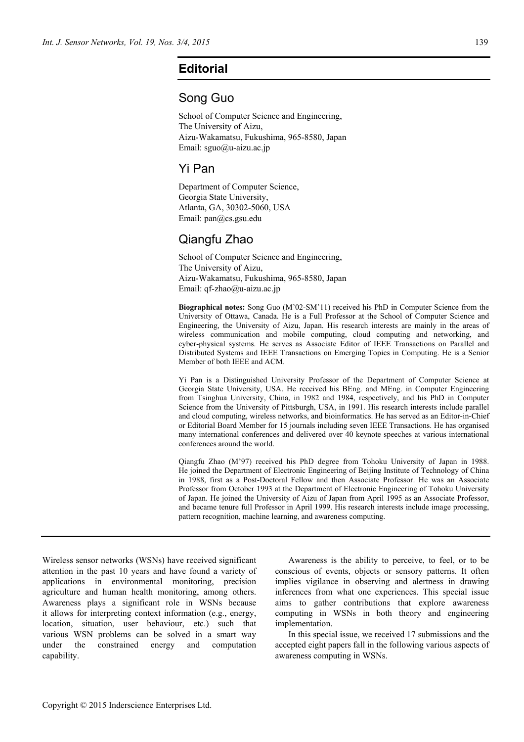## **Editorial**

### Song Guo

School of Computer Science and Engineering, The University of Aizu, Aizu-Wakamatsu, Fukushima, 965-8580, Japan Email: sguo@u-aizu.ac.jp

### Yi Pan

Department of Computer Science, Georgia State University, Atlanta, GA, 30302-5060, USA Email: pan@cs.gsu.edu

# Qiangfu Zhao

School of Computer Science and Engineering, The University of Aizu, Aizu-Wakamatsu, Fukushima, 965-8580, Japan Email: qf-zhao@u-aizu.ac.jp

**Biographical notes:** Song Guo (M'02-SM'11) received his PhD in Computer Science from the University of Ottawa, Canada. He is a Full Professor at the School of Computer Science and Engineering, the University of Aizu, Japan. His research interests are mainly in the areas of wireless communication and mobile computing, cloud computing and networking, and cyber-physical systems. He serves as Associate Editor of IEEE Transactions on Parallel and Distributed Systems and IEEE Transactions on Emerging Topics in Computing. He is a Senior Member of both IEEE and ACM.

Yi Pan is a Distinguished University Professor of the Department of Computer Science at Georgia State University, USA. He received his BEng. and MEng. in Computer Engineering from Tsinghua University, China, in 1982 and 1984, respectively, and his PhD in Computer Science from the University of Pittsburgh, USA, in 1991. His research interests include parallel and cloud computing, wireless networks, and bioinformatics. He has served as an Editor-in-Chief or Editorial Board Member for 15 journals including seven IEEE Transactions. He has organised many international conferences and delivered over 40 keynote speeches at various international conferences around the world.

Qiangfu Zhao (M'97) received his PhD degree from Tohoku University of Japan in 1988. He joined the Department of Electronic Engineering of Beijing Institute of Technology of China in 1988, first as a Post-Doctoral Fellow and then Associate Professor. He was an Associate Professor from October 1993 at the Department of Electronic Engineering of Tohoku University of Japan. He joined the University of Aizu of Japan from April 1995 as an Associate Professor, and became tenure full Professor in April 1999. His research interests include image processing, pattern recognition, machine learning, and awareness computing.

Wireless sensor networks (WSNs) have received significant attention in the past 10 years and have found a variety of applications in environmental monitoring, precision agriculture and human health monitoring, among others. Awareness plays a significant role in WSNs because it allows for interpreting context information (e.g., energy, location, situation, user behaviour, etc.) such that various WSN problems can be solved in a smart way under the constrained energy and computation capability.

Awareness is the ability to perceive, to feel, or to be conscious of events, objects or sensory patterns. It often implies vigilance in observing and alertness in drawing inferences from what one experiences. This special issue aims to gather contributions that explore awareness computing in WSNs in both theory and engineering implementation.

In this special issue, we received 17 submissions and the accepted eight papers fall in the following various aspects of awareness computing in WSNs.